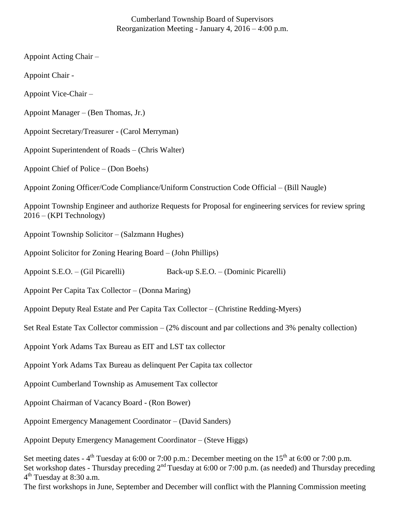# Cumberland Township Board of Supervisors Reorganization Meeting - January 4, 2016 – 4:00 p.m.

Appoint Acting Chair – Appoint Chair - Appoint Vice-Chair – Appoint Manager – (Ben Thomas, Jr.) Appoint Secretary/Treasurer - (Carol Merryman) Appoint Superintendent of Roads – (Chris Walter) Appoint Chief of Police – (Don Boehs) Appoint Zoning Officer/Code Compliance/Uniform Construction Code Official – (Bill Naugle) Appoint Township Engineer and authorize Requests for Proposal for engineering services for review spring 2016 – (KPI Technology) Appoint Township Solicitor – (Salzmann Hughes) Appoint Solicitor for Zoning Hearing Board – (John Phillips) Appoint S.E.O. – (Gil Picarelli) Back-up S.E.O. – (Dominic Picarelli) Appoint Per Capita Tax Collector – (Donna Maring) Appoint Deputy Real Estate and Per Capita Tax Collector – (Christine Redding-Myers) Set Real Estate Tax Collector commission – (2% discount and par collections and 3% penalty collection) Appoint York Adams Tax Bureau as EIT and LST tax collector Appoint York Adams Tax Bureau as delinquent Per Capita tax collector Appoint Cumberland Township as Amusement Tax collector Appoint Chairman of Vacancy Board - (Ron Bower) Appoint Emergency Management Coordinator – (David Sanders) Appoint Deputy Emergency Management Coordinator – (Steve Higgs) Set meeting dates -  $4^{\text{th}}$  Tuesday at 6:00 or 7:00 p.m.: December meeting on the 15<sup>th</sup> at 6:00 or 7:00 p.m. Set workshop dates - Thursday preceding  $2<sup>nd</sup>$  Tuesday at 6:00 or 7:00 p.m. (as needed) and Thursday preceding

4<sup>th</sup> Tuesday at 8:30 a.m.

The first workshops in June, September and December will conflict with the Planning Commission meeting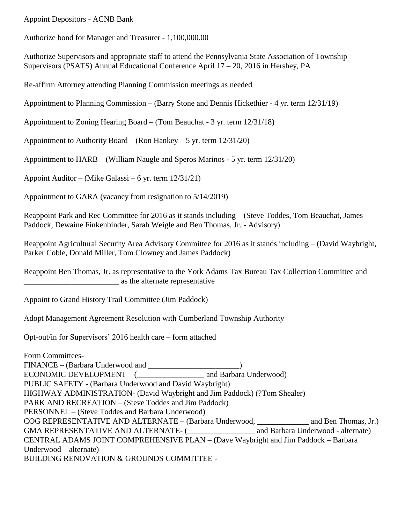Appoint Depositors - ACNB Bank

Authorize bond for Manager and Treasurer - 1,100,000.00

Authorize Supervisors and appropriate staff to attend the Pennsylvania State Association of Township Supervisors (PSATS) Annual Educational Conference April 17 – 20, 2016 in Hershey, PA

Re-affirm Attorney attending Planning Commission meetings as needed

Appointment to Planning Commission – (Barry Stone and Dennis Hickethier - 4 yr. term 12/31/19)

Appointment to Zoning Hearing Board – (Tom Beauchat - 3 yr. term 12/31/18)

Appointment to Authority Board – (Ron Hankey – 5 yr. term  $12/31/20$ )

Appointment to HARB – (William Naugle and Speros Marinos - 5 yr. term 12/31/20)

Appoint Auditor – (Mike Galassi – 6 yr. term 12/31/21)

Appointment to GARA (vacancy from resignation to 5/14/2019)

Reappoint Park and Rec Committee for 2016 as it stands including – (Steve Toddes, Tom Beauchat, James Paddock, Dewaine Finkenbinder, Sarah Weigle and Ben Thomas, Jr. - Advisory)

Reappoint Agricultural Security Area Advisory Committee for 2016 as it stands including – (David Waybright, Parker Coble, Donald Miller, Tom Clowney and James Paddock)

Reappoint Ben Thomas, Jr. as representative to the York Adams Tax Bureau Tax Collection Committee and \_\_\_\_\_\_\_\_\_\_\_\_\_\_\_\_\_\_\_\_\_\_\_\_ as the alternate representative

Appoint to Grand History Trail Committee (Jim Paddock)

Adopt Management Agreement Resolution with Cumberland Township Authority

Opt-out/in for Supervisors' 2016 health care – form attached

Form Committees-FINANCE – (Barbara Underwood and \_\_\_\_\_\_\_\_\_\_\_\_\_\_\_\_\_\_\_\_\_\_) ECONOMIC DEVELOPMENT – ( and Barbara Underwood) PUBLIC SAFETY - (Barbara Underwood and David Waybright) HIGHWAY ADMINISTRATION- (David Waybright and Jim Paddock) (?Tom Shealer) PARK AND RECREATION – (Steve Toddes and Jim Paddock) PERSONNEL – (Steve Toddes and Barbara Underwood) COG REPRESENTATIVE AND ALTERNATE – (Barbara Underwood, \_\_\_\_\_\_\_\_\_\_\_\_\_ and Ben Thomas, Jr.) GMA REPRESENTATIVE AND ALTERNATE- (\_\_\_\_\_\_\_\_\_\_\_\_\_\_\_\_\_ and Barbara Underwood - alternate) CENTRAL ADAMS JOINT COMPREHENSIVE PLAN – (Dave Waybright and Jim Paddock – Barbara Underwood – alternate) BUILDING RENOVATION & GROUNDS COMMITTEE -